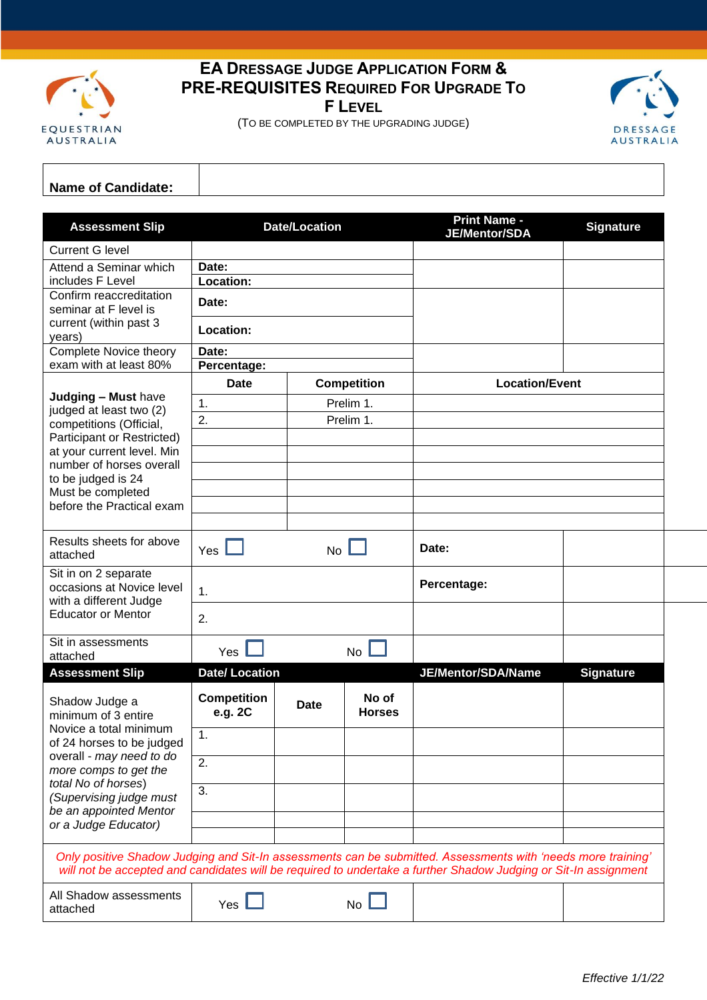

## **EA DRESSAGE JUDGE APPLICATION FORM & PRE-REQUISITES REQUIRED FOR UPGRADE TO F LEVEL**

(TO BE COMPLETED BY THE UPGRADING JUDGE)



## **Name of Candidate:**

| <b>Current G level</b><br>Attend a Seminar which<br>Date:<br>includes F Level<br>Location:<br>Confirm reaccreditation<br>Date:<br>seminar at F level is<br>current (within past 3<br>Location:<br>years)<br>Complete Novice theory<br>Date:<br>exam with at least 80%<br>Percentage:<br><b>Competition</b><br><b>Location/Event</b><br>Date<br>Judging - Must have<br>1.<br>Prelim 1.<br>judged at least two (2)<br>2.<br>Prelim 1.<br>competitions (Official,<br>Participant or Restricted)<br>at your current level. Min<br>number of horses overall<br>to be judged is 24<br>Must be completed<br>before the Practical exam<br>Results sheets for above<br>Date:<br>Yes $\Box$<br>No <sub>l</sub><br>attached<br>Sit in on 2 separate<br>Percentage:<br>occasions at Novice level<br>1.<br>with a different Judge<br><b>Educator or Mentor</b><br>2.<br>Sit in assessments<br>Yes<br>No l<br>attached<br><b>Date/Location</b><br>JE/Mentor/SDA/Name<br><b>Assessment Slip</b><br><b>Signature</b><br><b>Competition</b><br>No of<br>Shadow Judge a<br><b>Date</b><br>e.g. 2C<br><b>Horses</b><br>minimum of 3 entire<br>Novice a total minimum<br>1.<br>of 24 horses to be judged<br>overall - may need to do<br>2.<br>more comps to get the<br>total No of horses)<br>3.<br>(Supervising judge must<br>be an appointed Mentor<br>or a Judge Educator)<br>Only positive Shadow Judging and Sit-In assessments can be submitted. Assessments with 'needs more training'<br>will not be accepted and candidates will be required to undertake a further Shadow Judging or Sit-In assignment<br>All Shadow assessments<br>Yes $\mathbb I$<br>No<br>attached | <b>Assessment Slip</b> | <b>Date/Location</b> |  |  | <b>Print Name -</b><br>JE/Mentor/SDA | <b>Signature</b> |
|-------------------------------------------------------------------------------------------------------------------------------------------------------------------------------------------------------------------------------------------------------------------------------------------------------------------------------------------------------------------------------------------------------------------------------------------------------------------------------------------------------------------------------------------------------------------------------------------------------------------------------------------------------------------------------------------------------------------------------------------------------------------------------------------------------------------------------------------------------------------------------------------------------------------------------------------------------------------------------------------------------------------------------------------------------------------------------------------------------------------------------------------------------------------------------------------------------------------------------------------------------------------------------------------------------------------------------------------------------------------------------------------------------------------------------------------------------------------------------------------------------------------------------------------------------------------------------------------------------------------------------------------------------------|------------------------|----------------------|--|--|--------------------------------------|------------------|
|                                                                                                                                                                                                                                                                                                                                                                                                                                                                                                                                                                                                                                                                                                                                                                                                                                                                                                                                                                                                                                                                                                                                                                                                                                                                                                                                                                                                                                                                                                                                                                                                                                                             |                        |                      |  |  |                                      |                  |
|                                                                                                                                                                                                                                                                                                                                                                                                                                                                                                                                                                                                                                                                                                                                                                                                                                                                                                                                                                                                                                                                                                                                                                                                                                                                                                                                                                                                                                                                                                                                                                                                                                                             |                        |                      |  |  |                                      |                  |
|                                                                                                                                                                                                                                                                                                                                                                                                                                                                                                                                                                                                                                                                                                                                                                                                                                                                                                                                                                                                                                                                                                                                                                                                                                                                                                                                                                                                                                                                                                                                                                                                                                                             |                        |                      |  |  |                                      |                  |
|                                                                                                                                                                                                                                                                                                                                                                                                                                                                                                                                                                                                                                                                                                                                                                                                                                                                                                                                                                                                                                                                                                                                                                                                                                                                                                                                                                                                                                                                                                                                                                                                                                                             |                        |                      |  |  |                                      |                  |
|                                                                                                                                                                                                                                                                                                                                                                                                                                                                                                                                                                                                                                                                                                                                                                                                                                                                                                                                                                                                                                                                                                                                                                                                                                                                                                                                                                                                                                                                                                                                                                                                                                                             |                        |                      |  |  |                                      |                  |
|                                                                                                                                                                                                                                                                                                                                                                                                                                                                                                                                                                                                                                                                                                                                                                                                                                                                                                                                                                                                                                                                                                                                                                                                                                                                                                                                                                                                                                                                                                                                                                                                                                                             |                        |                      |  |  |                                      |                  |
|                                                                                                                                                                                                                                                                                                                                                                                                                                                                                                                                                                                                                                                                                                                                                                                                                                                                                                                                                                                                                                                                                                                                                                                                                                                                                                                                                                                                                                                                                                                                                                                                                                                             |                        |                      |  |  |                                      |                  |
|                                                                                                                                                                                                                                                                                                                                                                                                                                                                                                                                                                                                                                                                                                                                                                                                                                                                                                                                                                                                                                                                                                                                                                                                                                                                                                                                                                                                                                                                                                                                                                                                                                                             |                        |                      |  |  |                                      |                  |
|                                                                                                                                                                                                                                                                                                                                                                                                                                                                                                                                                                                                                                                                                                                                                                                                                                                                                                                                                                                                                                                                                                                                                                                                                                                                                                                                                                                                                                                                                                                                                                                                                                                             |                        |                      |  |  |                                      |                  |
|                                                                                                                                                                                                                                                                                                                                                                                                                                                                                                                                                                                                                                                                                                                                                                                                                                                                                                                                                                                                                                                                                                                                                                                                                                                                                                                                                                                                                                                                                                                                                                                                                                                             |                        |                      |  |  |                                      |                  |
|                                                                                                                                                                                                                                                                                                                                                                                                                                                                                                                                                                                                                                                                                                                                                                                                                                                                                                                                                                                                                                                                                                                                                                                                                                                                                                                                                                                                                                                                                                                                                                                                                                                             |                        |                      |  |  |                                      |                  |
|                                                                                                                                                                                                                                                                                                                                                                                                                                                                                                                                                                                                                                                                                                                                                                                                                                                                                                                                                                                                                                                                                                                                                                                                                                                                                                                                                                                                                                                                                                                                                                                                                                                             |                        |                      |  |  |                                      |                  |
|                                                                                                                                                                                                                                                                                                                                                                                                                                                                                                                                                                                                                                                                                                                                                                                                                                                                                                                                                                                                                                                                                                                                                                                                                                                                                                                                                                                                                                                                                                                                                                                                                                                             |                        |                      |  |  |                                      |                  |
|                                                                                                                                                                                                                                                                                                                                                                                                                                                                                                                                                                                                                                                                                                                                                                                                                                                                                                                                                                                                                                                                                                                                                                                                                                                                                                                                                                                                                                                                                                                                                                                                                                                             |                        |                      |  |  |                                      |                  |
|                                                                                                                                                                                                                                                                                                                                                                                                                                                                                                                                                                                                                                                                                                                                                                                                                                                                                                                                                                                                                                                                                                                                                                                                                                                                                                                                                                                                                                                                                                                                                                                                                                                             |                        |                      |  |  |                                      |                  |
|                                                                                                                                                                                                                                                                                                                                                                                                                                                                                                                                                                                                                                                                                                                                                                                                                                                                                                                                                                                                                                                                                                                                                                                                                                                                                                                                                                                                                                                                                                                                                                                                                                                             |                        |                      |  |  |                                      |                  |
|                                                                                                                                                                                                                                                                                                                                                                                                                                                                                                                                                                                                                                                                                                                                                                                                                                                                                                                                                                                                                                                                                                                                                                                                                                                                                                                                                                                                                                                                                                                                                                                                                                                             |                        |                      |  |  |                                      |                  |
|                                                                                                                                                                                                                                                                                                                                                                                                                                                                                                                                                                                                                                                                                                                                                                                                                                                                                                                                                                                                                                                                                                                                                                                                                                                                                                                                                                                                                                                                                                                                                                                                                                                             |                        |                      |  |  |                                      |                  |
|                                                                                                                                                                                                                                                                                                                                                                                                                                                                                                                                                                                                                                                                                                                                                                                                                                                                                                                                                                                                                                                                                                                                                                                                                                                                                                                                                                                                                                                                                                                                                                                                                                                             |                        |                      |  |  |                                      |                  |
|                                                                                                                                                                                                                                                                                                                                                                                                                                                                                                                                                                                                                                                                                                                                                                                                                                                                                                                                                                                                                                                                                                                                                                                                                                                                                                                                                                                                                                                                                                                                                                                                                                                             |                        |                      |  |  |                                      |                  |
|                                                                                                                                                                                                                                                                                                                                                                                                                                                                                                                                                                                                                                                                                                                                                                                                                                                                                                                                                                                                                                                                                                                                                                                                                                                                                                                                                                                                                                                                                                                                                                                                                                                             |                        |                      |  |  |                                      |                  |
|                                                                                                                                                                                                                                                                                                                                                                                                                                                                                                                                                                                                                                                                                                                                                                                                                                                                                                                                                                                                                                                                                                                                                                                                                                                                                                                                                                                                                                                                                                                                                                                                                                                             |                        |                      |  |  |                                      |                  |
|                                                                                                                                                                                                                                                                                                                                                                                                                                                                                                                                                                                                                                                                                                                                                                                                                                                                                                                                                                                                                                                                                                                                                                                                                                                                                                                                                                                                                                                                                                                                                                                                                                                             |                        |                      |  |  |                                      |                  |
|                                                                                                                                                                                                                                                                                                                                                                                                                                                                                                                                                                                                                                                                                                                                                                                                                                                                                                                                                                                                                                                                                                                                                                                                                                                                                                                                                                                                                                                                                                                                                                                                                                                             |                        |                      |  |  |                                      |                  |
|                                                                                                                                                                                                                                                                                                                                                                                                                                                                                                                                                                                                                                                                                                                                                                                                                                                                                                                                                                                                                                                                                                                                                                                                                                                                                                                                                                                                                                                                                                                                                                                                                                                             |                        |                      |  |  |                                      |                  |
|                                                                                                                                                                                                                                                                                                                                                                                                                                                                                                                                                                                                                                                                                                                                                                                                                                                                                                                                                                                                                                                                                                                                                                                                                                                                                                                                                                                                                                                                                                                                                                                                                                                             |                        |                      |  |  |                                      |                  |
|                                                                                                                                                                                                                                                                                                                                                                                                                                                                                                                                                                                                                                                                                                                                                                                                                                                                                                                                                                                                                                                                                                                                                                                                                                                                                                                                                                                                                                                                                                                                                                                                                                                             |                        |                      |  |  |                                      |                  |
|                                                                                                                                                                                                                                                                                                                                                                                                                                                                                                                                                                                                                                                                                                                                                                                                                                                                                                                                                                                                                                                                                                                                                                                                                                                                                                                                                                                                                                                                                                                                                                                                                                                             |                        |                      |  |  |                                      |                  |
|                                                                                                                                                                                                                                                                                                                                                                                                                                                                                                                                                                                                                                                                                                                                                                                                                                                                                                                                                                                                                                                                                                                                                                                                                                                                                                                                                                                                                                                                                                                                                                                                                                                             |                        |                      |  |  |                                      |                  |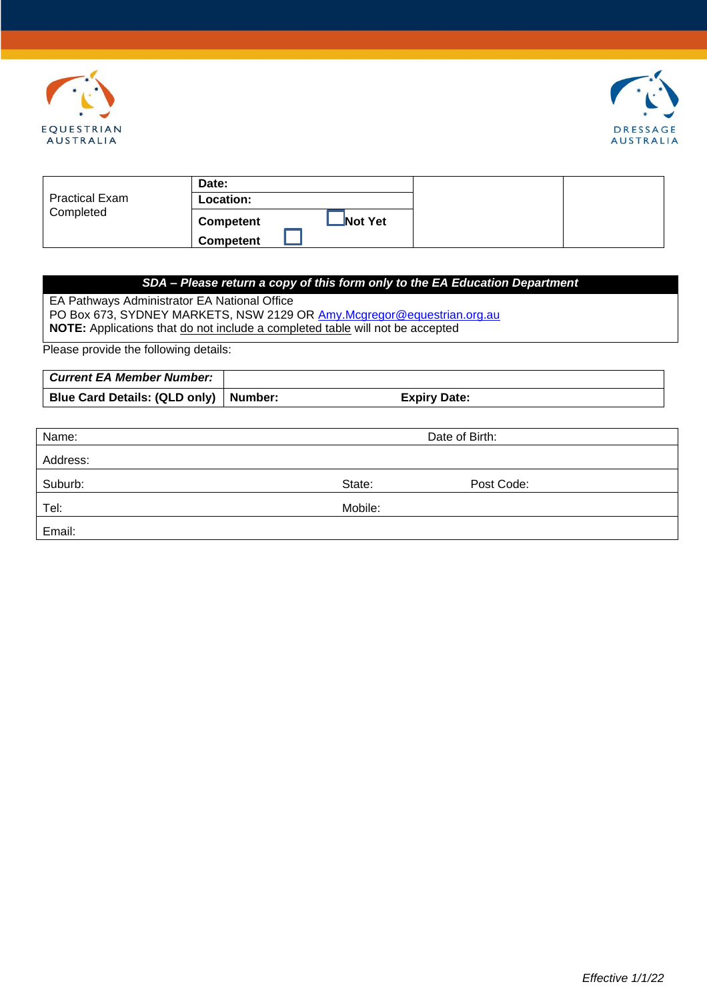



|                       | Date:            |         |
|-----------------------|------------------|---------|
| <b>Practical Exam</b> | Location:        |         |
| Completed             | Competent        | Not Yet |
|                       | <b>Competent</b> |         |

## *SDA – Please return a copy of this form only to the EA Education Department*

EA Pathways Administrator EA National Office PO Box 673, SYDNEY MARKETS, NSW 2129 OR [Amy.Mcgregor@equestrian.org.au](mailto:Amy.Mcgregor@equestrian.org.au) **NOTE:** Applications that do not include a completed table will not be accepted

Please provide the following details:

| Current EA Member Number:               |                     |
|-----------------------------------------|---------------------|
| Blue Card Details: (QLD only)   Number: | <b>Expiry Date:</b> |

| Name:    | Date of Birth: |            |
|----------|----------------|------------|
| Address: |                |            |
| Suburb:  | State:         | Post Code: |
| Tel:     | Mobile:        |            |
| Email:   |                |            |